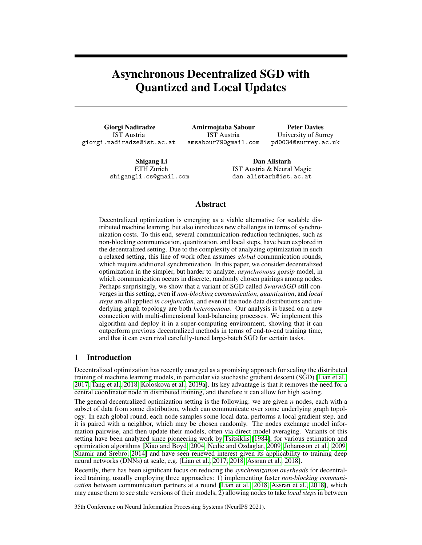# Asynchronous Decentralized SGD with Quantized and Local Updates

Giorgi Nadiradze IST Austria giorgi.nadiradze@ist.ac.at

Amirmojtaba Sabour IST Austria amsabour79@gmail.com

Peter Davies University of Surrey pd0034@surrey.ac.uk

Shigang Li ETH Zurich shigangli.cs@gmail.com

Dan Alistarh IST Austria & Neural Magic dan.alistarh@ist.ac.at

# Abstract

Decentralized optimization is emerging as a viable alternative for scalable distributed machine learning, but also introduces new challenges in terms of synchronization costs. To this end, several communication-reduction techniques, such as non-blocking communication, quantization, and local steps, have been explored in the decentralized setting. Due to the complexity of analyzing optimization in such a relaxed setting, this line of work often assumes *global* communication rounds, which require additional synchronization. In this paper, we consider decentralized optimization in the simpler, but harder to analyze, *asynchronous gossip* model, in which communication occurs in discrete, randomly chosen pairings among nodes. Perhaps surprisingly, we show that a variant of SGD called *SwarmSGD* still converges in this setting, even if *non-blocking communication*, *quantization*, and *local steps* are all applied *in conjunction*, and even if the node data distributions and underlying graph topology are both *heterogenous*. Our analysis is based on a new connection with multi-dimensional load-balancing processes. We implement this algorithm and deploy it in a super-computing environment, showing that it can outperform previous decentralized methods in terms of end-to-end training time, and that it can even rival carefully-tuned large-batch SGD for certain tasks.

## 1 Introduction

Decentralized optimization has recently emerged as a promising approach for scaling the distributed training of machine learning models, in particular via stochastic gradient descent (SGD) [\[Lian et al.,](#page-10-0) [2017,](#page-10-0) [Tang et al., 2018,](#page-10-1) [Koloskova et al., 2019a\]](#page-10-2). Its key advantage is that it removes the need for a central coordinator node in distributed training, and therefore it can allow for high scaling.

The general decentralized optimization setting is the following: we are given  $n$  nodes, each with a subset of data from some distribution, which can communicate over some underlying graph topology. In each global round, each node samples some local data, performs a local gradient step, and it is paired with a neighbor, which may be chosen randomly. The nodes exchange model information pairwise, and then update their models, often via direct model averaging. Variants of this setting have been analyzed since pioneering work by [Tsitsiklis](#page-10-3) [\[1984\]](#page-10-3), for various estimation and optimization algorithms [\[Xiao and Boyd, 2004,](#page-10-4) [Nedic and Ozdaglar, 2009,](#page-10-5) [Johansson et al., 2009,](#page-10-6) [Shamir and Srebro, 2014\]](#page-10-7) and have seen renewed interest given its applicability to training deep neural networks (DNNs) at scale, e.g. [\[Lian et al., 2017,](#page-10-0) [2018,](#page-10-8) [Assran et al., 2018\]](#page-10-9).

Recently, there has been significant focus on reducing the *synchronization overheads* for decentralized training, usually employing three approaches: 1) implementing faster *non-blocking communication* between communication partners at a round [\[Lian et al., 2018,](#page-10-8) [Assran et al., 2018\]](#page-10-9), which may cause them to see stale versions of their models, 2) allowing nodes to take *local steps* in between

35th Conference on Neural Information Processing Systems (NeurIPS 2021).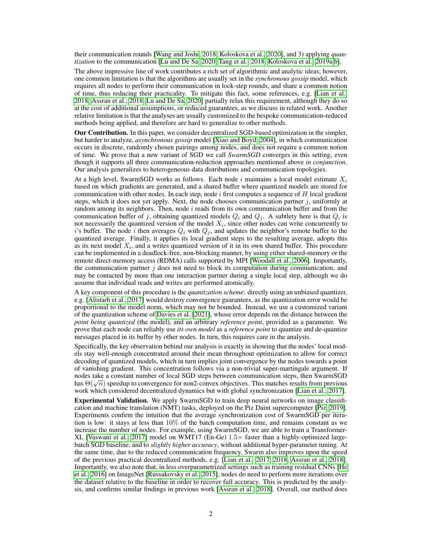their communication rounds [\[Wang and Joshi, 2018,](#page-10-10) [Koloskova et al., 2020\]](#page-10-11), and 3) applying *quantization* to the communication [\[Lu and De Sa, 2020,](#page-10-12) [Tang et al., 2018,](#page-10-1) [Koloskova et al., 2019a](#page-10-2)[,b\]](#page-10-13).

The above impressive line of work contributes a rich set of algorithmic and analytic ideas; however, one common limitation is that the algorithms are usually set in the *synchronous gossip* model, which requires all nodes to perform their communication in lock-step rounds, and share a common notion of time, thus reducing their practicality. To mitigate this fact, some references, e.g. [\[Lian et al.,](#page-10-8) [2018,](#page-10-8) [Assran et al., 2018,](#page-10-9) [Lu and De Sa, 2020\]](#page-10-12) partially relax this requirement, although they do so at the cost of additional assumptions, or reduced guarantees, as we discuss in related work. Another relative limitation is that the analyses are usually customized to the bespoke communication-reduced methods being applied, and therefore are hard to generalize to other methods.

Our Contribution. In this paper, we consider decentralized SGD-based optimization in the simpler, but harder to analyze, *asynchronous gossip* model [\[Xiao and Boyd, 2004\]](#page-10-4), in which communication occurs in discrete, randomly chosen pairings among nodes, and does not require a common notion of time. We prove that a new variant of SGD we call *SwarmSGD* converges in this setting, even though it supports all three communication-reduction approaches mentioned above *in conjunction*. Our analysis generalizes to heterogeneous data distributions and communication topologies.

At a high level, SwarmSGD works as follows. Each node i maintains a local model estimate  $X_i$ based on which gradients are generated, and a shared buffer where quantized models are stored for communication with other nodes. In each step, node  $i$  first computes a sequence of  $H$  local gradient steps, which it does not yet apply. Next, the node chooses communication partner  $j$ , uniformly at random among its neighbors. Then, node  $i$  reads from its own communication buffer and from the communication buffer of j, obtaining quantized models  $Q_i$  and  $Q_j$ . A subtlety here is that  $Q_i$  is not necessarily the quantized version of the model  $X_i$ , since other nodes can write concurrently to i's buffer. The node i then averages  $Q_i$  with  $Q_j$ , and updates the neighbor's remote buffer to the quantized average. Finally, it applies its local gradient steps to the resulting average, adopts this as its next model  $X_i$ , and a writes quantized version of it in its own shared buffer. This procedure can be implemented in a deadlock-free, non-blocking manner, by using either shared-memory or the remote direct-memory access (RDMA) calls supported by MPI [\[Woodall et al., 2006\]](#page-10-14). Importantly, the communication partner  $j$  does not need to block its computation during communication, and may be contacted by more than one interaction partner during a single local step, although we do assume that individual reads and writes are performed atomically.

A key component of this procedure is the *quantization scheme*: directly using an unbiased quantizer, e.g. [\[Alistarh et al., 2017\]](#page-10-15) would destroy convergence guarantees, as the quantization error would be proportional to the model norm, which may not be bounded. Instead, we use a customized variant of the quantization scheme of [Davies et al.](#page-11-0) [\[2021\]](#page-11-0), whose error depends on the distance between the *point being quantized* (the model), and an arbitrary *reference point*, provided as a parameter. We prove that each node can reliably use *its own model* as a *reference point* to quantize and de-quantize messages placed in its buffer by other nodes. In turn, this requires care in the analysis.

Specifically, the key observation behind our analysis is exactly in showing that the nodes' local models stay well-enough concentrated around their mean throughout optimization to allow for correct decoding of quantized models, which in turn implies joint convergence by the nodes towards a point of vanishing gradient. This concentration follows via a non-trivial super-martingale argument. If nodes take a constant number of local SGD steps between communication steps, then SwarmSGD nodes take a constant number of local SGD steps between communication steps, then SwarmSGD<br>has  $\Theta(\sqrt{n})$  speedup to convergence for non2-convex objectives. This matches results from previous work which considered decentralized dynamics but with global synchronization [\[Lian et al., 2017\]](#page-10-0).

Experimental Validation. We apply SwarmSGD to train deep neural networks on image classification and machine translation (NMT) tasks, deployed on the Piz Daint supercomputer [\[Piz, 2019\]](#page-11-1). Experiments confirm the intuition that the average synchronization cost of SwarmSGD per iteration is low: it stays at less than 10% of the batch computation time, and remains constant as we increase the number of nodes. For example, using SwarmSGD, we are able to train a Transformer-XL [\[Vaswani et al., 2017\]](#page-11-2) model on WMT17 (En-Ge)  $1.5\times$  faster than a highly-optimized largebatch SGD baseline, and to *slightly higher accuracy*, without additional hyper-parameter tuning. At the same time, due to the reduced communication frequency, Swarm also improves upon the speed of the previous practical decentralized methods, e.g. [\[Lian et al., 2017,](#page-10-0) [2018,](#page-10-8) [Assran et al., 2018\]](#page-10-9). Importantly, we also note that, in less overparametrized settings such as training residual CNNs [\[He](#page-11-3) [et al., 2016\]](#page-11-3) on ImageNet [\[Russakovsky et al., 2015\]](#page-11-4), nodes do need to perform more iterations over the dataset relative to the baseline in order to recover full accuracy. This is predicted by the analysis, and confirms similar findings in previous work [\[Assran et al., 2018\]](#page-10-9). Overall, our method does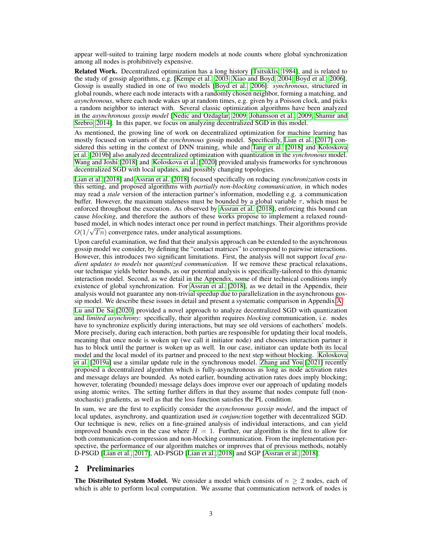appear well-suited to training large modern models at node counts where global synchronization among all nodes is prohibitively expensive.

Related Work. Decentralized optimization has a long history [\[Tsitsiklis, 1984\]](#page-10-3), and is related to the study of gossip algorithms, e.g. [\[Kempe et al., 2003,](#page-11-5) [Xiao and Boyd, 2004,](#page-10-4) [Boyd et al., 2006\]](#page-11-6). Gossip is usually studied in one of two models [\[Boyd et al., 2006\]](#page-11-6): *synchronous*, structured in global rounds, where each node interacts with a randomly chosen neighbor, forming a matching, and *asynchronous*, where each node wakes up at random times, e.g. given by a Poisson clock, and picks a random neighbor to interact with. Several classic optimization algorithms have been analyzed in the *asynchronous gossip model* [\[Nedic and Ozdaglar, 2009,](#page-10-5) [Johansson et al., 2009,](#page-10-6) [Shamir and](#page-10-7) [Srebro, 2014\]](#page-10-7). In this paper, we focus on analyzing decentralized SGD in this model.

As mentioned, the growing line of work on decentralized optimization for machine learning has mostly focused on variants of the *synchronous* gossip model. Specifically, [Lian et al.](#page-10-0) [\[2017\]](#page-10-0) considered this setting in the context of DNN training, while and [Tang et al.](#page-10-1) [\[2018\]](#page-10-1) and [Koloskova](#page-10-13) [et al.](#page-10-13) [\[2019b\]](#page-10-13) also analyzed decentralized optimization with quantization in the *synchronous* model. [Wang and Joshi](#page-10-10) [\[2018\]](#page-10-10) and [Koloskova et al.](#page-10-11) [\[2020\]](#page-10-11) provided analysis frameworks for synchronous decentralized SGD with local updates, and possibly changing topologies.

[Lian et al.](#page-10-8) [\[2018\]](#page-10-8) and [Assran et al.](#page-10-9) [\[2018\]](#page-10-9) focused specifically on reducing *synchronization* costs in this setting, and proposed algorithms with *partially non-blocking communication*, in which nodes may read a *stale* version of the interaction partner's information, modelling e.g. a communication buffer. However, the maximum staleness must be bounded by a global variable  $\tau$ , which must be enforced throughout the execution. As observed by [Assran et al.](#page-10-9) [\[2018\]](#page-10-9), enforcing this bound can cause *blocking*, and therefore the authors of these works propose to implement a relaxed roundbased model, in which nodes interact once per round in perfect matchings. Their algorithms provide √  $O(1/\sqrt{T}n)$  convergence rates, under analytical assumptions.

Upon careful examination, we find that their analysis approach can be extended to the asynchronous gossip model we consider, by defining the "contact matrices" to correspond to pairwise interactions. However, this introduces two significant limitations. First, the analysis will not support *local gradient updates to models* nor *quantized communication*. If we remove these practical relaxations, our technique yields better bounds, as our potential analysis is specifically-tailored to this dynamic interaction model. Second, as we detail in the Appendix, some of their technical conditions imply existence of global synchronization. For [Assran et al.](#page-10-9) [\[2018\]](#page-10-9), as we detail in the Appendix, their analysis would not guarantee any non-trivial speedup due to parallelization in the asynchronous gossip model. We describe these issues in detail and present a systematic comparison in Appendix [A.](#page--1-0)

[Lu and De Sa](#page-10-12) [\[2020\]](#page-10-12) provided a novel approach to analyze decentralized SGD with quantization and *limited asynchrony*: specifically, their algorithm requires *blocking* communication, i.e. nodes have to synchronize explicitly during interactions, but may see old versions of eachothers' models. More precisely, during each interaction, both parties are responsible for updating their local models, meaning that once node is woken up (we call it initiator node) and chooses interaction partner it has to block until the partner is woken up as well. In our case, initiator can update both its local model and the local model of its partner and proceed to the next step without blocking. [Koloskova](#page-10-2) [et al.](#page-10-2) [\[2019a\]](#page-10-2) use a similar update rule in the synchronous model. [Zhang and You](#page-11-7) [\[2021\]](#page-11-7) recently proposed a decentralized algorithm which is fully-asynchronous as long as node activation rates and message delays are bounded. As noted earlier, bounding activation rates does imply blocking; however, tolerating (bounded) message delays does improve over our approach of updating models using atomic writes. The setting further differs in that they assume that nodes compute full (nonstochastic) gradients, as well as that the loss function satisfies the PL condition.

In sum, we are the first to explicitly consider the *asynchronous gossip model*, and the impact of local updates, asynchrony, and quantization used *in conjunction* together with decentralized SGD. Our technique is new, relies on a fine-grained analysis of individual interactions, and can yield improved bounds even in the case where  $H = 1$ . Further, our algorithm is the first to allow for both communication-compression and non-blocking communication. From the implementation perspective, the performance of our algorithm matches or improves that of previous methods, notably D-PSGD [\[Lian et al., 2017\]](#page-10-0), AD-PSGD [\[Lian et al., 2018\]](#page-10-8) and SGP [\[Assran et al., 2018\]](#page-10-9).

# 2 Preliminaries

**The Distributed System Model.** We consider a model which consists of  $n \geq 2$  nodes, each of which is able to perform local computation. We assume that communication network of nodes is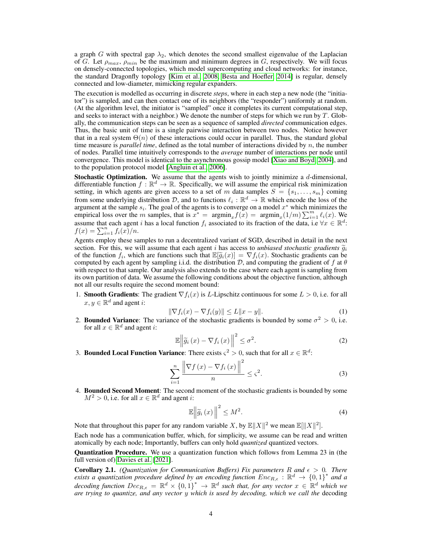a graph G with spectral gap  $\lambda_2$ , which denotes the second smallest eigenvalue of the Laplacian of G. Let  $\rho_{max}$ ,  $\rho_{min}$  be the maximum and minimum degrees in G, respectively. We will focus on densely-connected topologies, which model supercomputing and cloud networks: for instance, the standard Dragonfly topology [\[Kim et al., 2008,](#page-11-8) [Besta and Hoefler, 2014\]](#page-11-9) is regular, densely connected and low-diameter, mimicking regular expanders.

The execution is modelled as occurring in discrete *steps*, where in each step a new node (the "initiator") is sampled, and can then contact one of its neighbors (the "responder") uniformly at random. (At the algorithm level, the initiator is "sampled" once it completes its current computational step, and seeks to interact with a neighbor.) We denote the number of steps for which we run by  $T$ . Globally, the communication steps can be seen as a sequence of sampled *directed* communication edges. Thus, the basic unit of time is a single pairwise interaction between two nodes. Notice however that in a real system  $\Theta(n)$  of these interactions could occur in parallel. Thus, the standard global time measure is *parallel time*, defined as the total number of interactions divided by  $n$ , the number of nodes. Parallel time intuitively corresponds to the *average* number of interactions per node until convergence. This model is identical to the asynchronous gossip model [\[Xiao and Boyd, 2004\]](#page-10-4), and to the population protocol model [\[Angluin et al., 2006\]](#page-11-10).

**Stochastic Optimization.** We assume that the agents wish to jointly minimize a  $d$ -dimensional, differentiable function  $f : \mathbb{R}^d \to \mathbb{R}$ . Specifically, we will assume the empirical risk minimization setting, in which agents are given access to a set of m data samples  $S = \{s_1, \ldots, s_m\}$  coming from some underlying distribution D, and to functions  $\ell_i : \mathbb{R}^d \to \mathbb{R}$  which encode the loss of the argument at the sample  $s_i$ . The goal of the agents is to converge on a model  $x^*$  which minimizes the empirical loss over the m samples, that is  $x^* = \text{argmin}_x f(x) = \text{argmin}_x (1/m) \sum_{i=1}^m \ell_i(x)$ . We assume that each agent i has a local function  $f_i$  associated to its fraction of the data, i.e  $\forall x \in \mathbb{R}^d$ :  $f(x) = \sum_{i=1}^{n} f_i(x)/n.$ 

Agents employ these samples to run a decentralized variant of SGD, described in detail in the next section. For this, we will assume that each agent i has access to *unbiased stochastic gradients*  $\tilde{q}_i$ of the function  $f_i$ , which are functions such that  $\mathbb{E}[\tilde{g}_i(x)] = \nabla f_i(x)$ . Stochastic gradients can be computed by each agent by sampling i i d, the distribution  $\mathcal{D}$  and computing the gradient of f at  $\theta$ computed by each agent by sampling i.i.d. the distribution  $D$ , and computing the gradient of f at  $\theta$ with respect to that sample. Our analysis also extends to the case where each agent is sampling from its own partition of data. We assume the following conditions about the objective function, although not all our results require the second moment bound:

1. **Smooth Gradients**: The gradient  $\nabla f_i(x)$  is *L*-Lipschitz continuous for some  $L > 0$ , i.e. for all  $x, y \in \mathbb{R}^d$  and agent *i*:

$$
\|\nabla f_i(x) - \nabla f_i(y)\| \le L\|x - y\|.\tag{1}
$$

2. Bounded Variance: The variance of the stochastic gradients is bounded by some  $\sigma^2 > 0$ , i.e. for all  $x \in \mathbb{R}^d$  and agent *i*:

$$
\mathbb{E}\left\|\widetilde{g}_{i}\left(x\right)-\nabla f_{i}\left(x\right)\right\|^{2} \leq \sigma^{2}.
$$
\n(2)

3. Bounded Local Function Variance: There exists  $\varsigma^2 > 0$ , such that for all  $x \in \mathbb{R}^d$ :

$$
\sum_{i=1}^{n} \frac{\left\| \nabla f\left(x\right) - \nabla f_i\left(x\right) \right\|^2}{n} \le \varsigma^2. \tag{3}
$$

4. Bounded Second Moment: The second moment of the stochastic gradients is bounded by some  $M^2 > 0$ , i.e. for all  $x \in \mathbb{R}^d$  and agent *i*:

<span id="page-3-1"></span>
$$
\mathbb{E}\left\|\tilde{g}_{i}\left(x\right)\right\|^{2} \leq M^{2}.\tag{4}
$$

Note that throughout this paper for any random variable X, by  $\mathbb{E}||X||^2$  we mean  $\mathbb{E}||X||^2$ .

Each node has a communication buffer, which, for simplicity, we assume can be read and written atomically by each node; Importantly, buffers can only hold *quantized* quantized vectors.

Quantization Procedure. We use a quantization function which follows from Lemma 23 in (the full version of) [Davies et al.](#page-11-0) [\[2021\]](#page-11-0).

<span id="page-3-0"></span>**Corollary 2.1.** *(Quantization for Communication Buffers) Fix parameters* R and  $\epsilon > 0$ . There *exists a quantization procedure defined by an encoding function*  $Enc_{R,\epsilon} : \mathbb{R}^d \to \{0,1\}^*$  and a decoding function  $Dec_{R,\epsilon} = \mathbb{R}^d \times \{0,1\}^* \to \mathbb{R}^d$  such that, for any vector  $x \in \mathbb{R}^d$  which we *are trying to quantize, and any vector* y *which is used by decoding, which we call the* decoding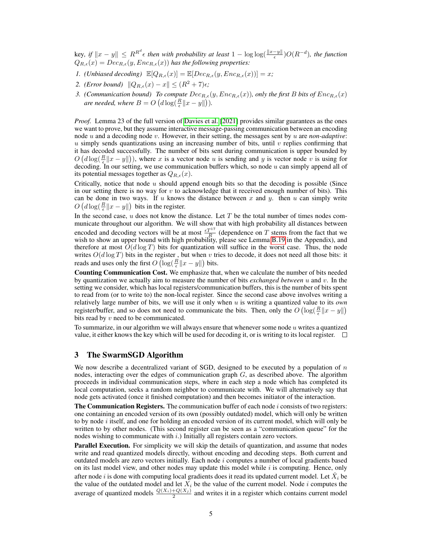key, if  $||x-y|| \leq R^{R^d} \epsilon$  then with probability at least  $1 - \log \log (\frac{||x-y||}{\epsilon}) O(R^{-d})$ , the function  $Q_{R,\epsilon}(x) = Dec_{R,\epsilon}(y, Enc_{R,\epsilon}(x))$  *has the following properties:* 

- *1. (Unbiased decoding)*  $\mathbb{E}[Q_{R,\epsilon}(x)] = \mathbb{E}[Dec_{R,\epsilon}(y, Enc_{R,\epsilon}(x))] = x;$
- *2. (Error bound)*  $||Q_{R,\epsilon}(x) x|| \leq (R^2 + 7)\epsilon$ ;
- *3. (Communication bound)* To compute  $Dec_{R,\epsilon}(y, Enc_{R,\epsilon}(x))$ *, only the first B bits of*  $Enc_{R,\epsilon}(x)$ *are needed, where*  $B = O\left(d \log(\frac{R}{\epsilon} ||x - y||)\right)$ .

*Proof.* Lemma 23 of the full version of [Davies et al.](#page-11-0) [\[2021\]](#page-11-0) provides similar guarantees as the ones we want to prove, but they assume interactive message-passing communication between an encoding node u and a decoding node v. However, in their setting, the messages sent by u are *non-adaptive*: u simply sends quantizations using an increasing number of bits, until  $\upsilon$  replies confirming that it has decoded successfully. The number of bits sent during communication is upper bounded by  $O(d \log(\frac{R}{\epsilon} ||x-y||))$ , where x is a vector node u is sending and y is vector node v is using for decoding. In our setting, we use communication buffers which, so node  $u$  can simply append all of its potential messages together as  $Q_{R,\epsilon}(x)$ .

Critically, notice that node  $u$  should append enough bits so that the decoding is possible (Since in our setting there is no way for  $v$  to acknowledge that it received enough number of bits). This can be done in two ways. If u knows the distance between x and y. then u can simply write  $O\left(d\log(\frac{R}{\epsilon}||x-y||\right)$  bits in the register.

In the second case,  $u$  does not know the distance. Let  $T$  be the total number of times nodes communicate throughout our algorithm. We will show that with high probability all distances between encoded and decoding vectors will be at most  $\frac{\epsilon T^{17}}{R}$  (dependence on T stems from the fact that we wish to show an upper bound with high probability, please see Lemma [B.19](#page--1-1) in the Appendix), and therefore at most  $O(d \log T)$  bits for quantization will suffice in the worst case. Thus, the node writes  $O(d \log T)$  bits in the register, but when v tries to decode, it does not need all those bits: it reads and uses only the first  $O\left(\log(\frac{R}{\epsilon}||x-y||\right)$  bits.

Counting Communication Cost. We emphasize that, when we calculate the number of bits needed by quantization we actually aim to measure the number of bits *exchanged between* u and v. In the setting we consider, which has local registers/communication buffers, this is the number of bits spent to read from (or to write to) the non-local register. Since the second case above involves writing a relatively large number of bits, we will use it only when u is writing a quantized value to its *own* register/buffer, and so does not need to communicate the bits. Then, only the  $O\left(\log(\frac{R}{\epsilon}||x-y||)\right)$ bits read by  $v$  need to be communicated.

To summarize, in our algorithm we will always ensure that whenever some node  $u$  writes a quantized value, it either knows the key which will be used for decoding it, or is writing to its local register.  $\square$ 

#### 3 The SwarmSGD Algorithm

We now describe a decentralized variant of SGD, designed to be executed by a population of  $n$ nodes, interacting over the edges of communication graph  $G$ , as described above. The algorithm proceeds in individual communication steps, where in each step a node which has completed its local computation, seeks a random neighbor to communicate with. We will alternatively say that node gets activated (once it finished computation) and then becomes initiator of the interaction.

**The Communication Registers.** The communication buffer of each node  $i$  consists of two registers: one containing an encoded version of its own (possibly outdated) model, which will only be written to by node  $i$  itself, and one for holding an encoded version of its current model, which will only be written to by other nodes. (This second register can be seen as a "communication queue" for the nodes wishing to communicate with  $i$ .) Initially all registers contain zero vectors.

Parallel Execution. For simplicity we will skip the details of quantization, and assume that nodes write and read quantized models directly, without encoding and decoding steps. Both current and outdated models are zero vectors initially. Each node  $i$  computes a number of local gradients based on its last model view, and other nodes may update this model while  $i$  is computing. Hence, only after node  $i$  is done with computing local gradients does it read its updated current model. Let  $\hat{X}_i$  be the value of the outdated model and let  $X_i$  be the value of the current model. Node i computes the average of quantized models  $\frac{Q(X_i)+Q(X_j)}{2}$  and writes it in a register which contains current model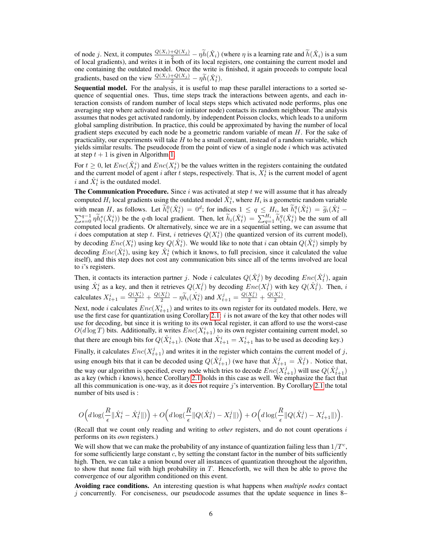of node j. Next, it computes  $\frac{Q(X_i)+Q(X_j)}{R} - \eta \widetilde{h}(\hat{X}_i)$  (where  $\eta$  is a learning rate and  $\widetilde{h}(\hat{X}_i)$  is a sum of local gradients), and writes it in both of its local registers, one containing the current model and one containing the outdated model. Once the write is finished, it again proceeds to compute local gradients, based on the view  $\frac{Q(X_i)+Q(X_j)}{2} - \eta \widetilde{h}(\hat{X}_t^i)$ .

Sequential model. For the analysis, it is useful to map these parallel interactions to a sorted sequence of sequential ones. Thus, time steps track the interactions between agents, and each interaction consists of random number of local steps steps which activated node performs, plus one averaging step where activated node (or initiator node) contacts its random neighbour. The analysis assumes that nodes get activated randomly, by independent Poisson clocks, which leads to a uniform global sampling distribution. In practice, this could be approximated by having the number of local gradient steps executed by each node be a geometric random variable of mean  $H$ . For the sake of practicality, our experiments will take  $H$  to be a small constant, instead of a random variable, which yields similar results. The pseudocode from the point of view of a single node  $i$  which was activated at step  $t + 1$  is given in Algorithm [1.](#page-6-0)

For  $t \geq 0$ , let  $Enc(\hat{X}_t^i)$  and  $Enc(X_t^i)$  be the values written in the registers containing the outdated and the current model of agent *i* after *t* steps, respectively. That is,  $\overline{X}_t^i$  is the current model of agent i and  $\hat{X}_t^i$  is the outdated model.

**The Communication Procedure.** Since i was activated at step t we will assume that it has already computed  $H_i$  local gradients using the outdated model  $\hat{X}_t^i$ , where  $H_i$  is a geometric random variable with mean H, as follows. Let  $\tilde{h}_i^0(\hat{X}_t^i) = 0^d$ ; for indices  $1 \le q \le H_i$ , let  $\tilde{h}_i^q(\hat{X}_t^i) = \tilde{g}_i(\hat{X}_t^i - \nabla g_i(x_i))$  $\sum_{s=0}^{q-1} \tilde{m}_i^s(\hat{X}_t^i)$  be the q-th local gradient. Then, let  $\tilde{h}_i(\hat{X}_t^i) = \sum_{q=1}^{H_i} \tilde{h}_i^q(\hat{X}_t^i)$  be the sum of all computed local gradients. Or alternatively, since we are in a sequential setting, we can assume that i does computation at step t. First, i retrieves  $Q(X_t^i)$  (the quantized version of its current model), by decoding  $Enc(X_t^i)$  using key  $Q(\hat{X}_t^i)$ . We would like to note that i can obtain  $Q(\hat{X}_t^i)$  simply by decoding  $Enc(\hat{X}_t^i)$ , using key  $\hat{X}_t^i$  (which it knows, to full precision, since it calculated the value itself), and this step does not cost any communication bits since all of the terms involved are local to  $i$ 's registers.

Then, it contacts its interaction partner j. Node i calculates  $Q(\hat{X}_t^j)$  by decoding  $Enc(\hat{X}_t^j)$ , again using  $\hat{X}_t^i$  as a key, and then it retrieves  $Q(X_t^j)$  by decoding  $Enc(X_t^j)$  with key  $Q(\hat{X}_t^j)$ . Then, i calculates  $X_{t+1}^i = \frac{Q(X_t^i)}{2} + \frac{Q(X_t^j)}{2} - \eta \widetilde{h}_i(\hat{X}_t^i)$  and  $X_{t+1}^j = \frac{Q(X_t^j)}{2} + \frac{Q(X_t^i)}{2}$  $\frac{\Lambda_t}{2}$ .

Next, node *i* calculates  $Enc(X_{t+1}^i)$  and writes to its own register for its outdated models. Here, we use the first case for quantization using Corollary [2.1:](#page-3-0)  $i$  is not aware of the key that other nodes will use for decoding, but since it is writing to its own local register, it can afford to use the worst-case  $O(d \log T)$  bits. Additionally, it writes  $Enc(X_{t+1}^i)$  to its own register containing current model, so that there are enough bits for  $Q(\hat{X}_{t+1}^i)$ . (Note that  $\hat{X}_{t+1}^i = X_{t+1}^i$  has to be used as decoding key.)

Finally, it calculates  $Enc(X_{t+1}^j)$  and writes it in the register which contains the current model of j, using enough bits that it can be decoded using  $Q(\hat{X}_{t+1}^j)$  (we have that  $\hat{X}_{t+1}^j = \hat{X}_t^j$ ). Notice that, the way our algorithm is specified, every node which tries to decode  $Enc(X_{t+1}^j)$  will use  $Q(\hat{X}_{t+1}^j)$ as a key (which i knows), hence Corollary [2.1](#page-3-0) holds in this case as well. We emphasize the fact that all this communication is one-way, as it does not require  $j$ 's intervention. By Corollary [2.1](#page-3-0) the total number of bits used is :

$$
O\Big(d\log(\frac{R}{\epsilon}\|\hat{X}^i_t - \hat{X}^j_t\|)\Big) + O\Big(d\log(\frac{R}{\epsilon}\|Q(\hat{X}^j_t) - X^j_t\|)\Big) + O\Big(d\log(\frac{R}{\epsilon}\|Q(\hat{X}^j_t) - X^j_{t+1}\|)\Big).
$$

(Recall that we count only reading and writing to *other* registers, and do not count operations i performs on its *own* registers.)

We will show that we can make the probability of any instance of quantization failing less than  $1/T<sup>c</sup>$ , for some sufficiently large constant  $c$ , by setting the constant factor in the number of bits sufficiently high. Then, we can take a union bound over all instances of quantization throughout the algorithm, to show that none fail with high probability in  $T$ . Henceforth, we will then be able to prove the convergence of our algorithm conditioned on this event.

Avoiding race conditions. An interesting question is what happens when *multiple nodes* contact  $j$  concurrently. For conciseness, our pseudocode assumes that the update sequence in lines 8–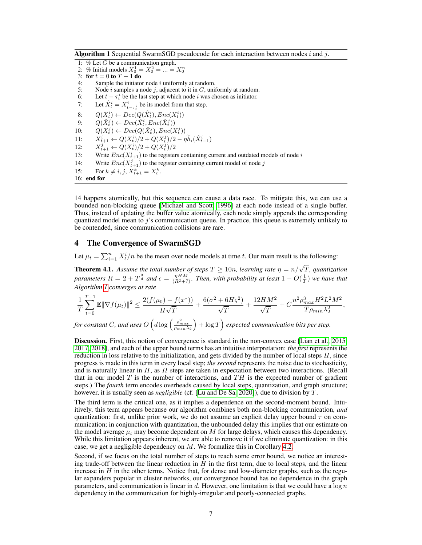**Algorithm 1** Sequential SwarmSGD pseudocode for each interaction between nodes i and j.

<span id="page-6-0"></span>1: % Let  $G$  be a communication graph. 2: % Initial models  $X_0^1 = X_0^2 = ... = X_0^n$ 3: for  $t = 0$  to  $T - 1$  do 4: Sample the initiator node i uniformly at random.<br>5: Node i samples a node j, adjacent to it in  $G$ , uni Node i samples a node j, adjacent to it in  $G$ , uniformly at random. 6: Let  $t - \tau_t^i$  be the last step at which node i was chosen as initiator. 7: Let  $\hat{X}_t^i = X_{t-\tau_t^i}^i$  be its model from that step. 8:  $Q(X_t^i) \leftarrow Dec(Q(\hat{X}_t^i), Enc(X_t^i))$ 9:  $Q(\hat{X}_t^j) \leftarrow Dec(\hat{X}_t^i, Enc(\hat{X}_t^j))$ 10:  $Q(X_t^j) \leftarrow Dec(Q(\hat{X}_t^j), Enc(X_t^j))$ <br>
11:  $X_{t+1}^i \leftarrow Q(X_t^i)/2 + Q(X_t^j)/2 - \eta \tilde{h}_i(\hat{X}_{t-1}^i)$ <br>
12:  $X_{t+1}^j \leftarrow Q(X_t^i)/2 + Q(X_t^j)/2$  $11:$  $12:$ 13: Write  $Enc(X_{t+1}^i)$  to the registers containing current and outdated models of node i 14: Write  $Enc(X_{t+1}^j)$  to the register containing current model of node j 15: For  $k \neq i, j, X_{t+1}^k = X_t^k$ . 16: end for

14 happens atomically, but this sequence can cause a data race. To mitigate this, we can use a bounded non-blocking queue [\[Michael and Scott, 1996\]](#page-11-11) at each node instead of a single buffer. Thus, instead of updating the buffer value atomically, each node simply appends the corresponding quantized model mean to  $j$ 's communication queue. In practice, this queue is extremely unlikely to be contended, since communication collisions are rare.

#### 4 The Convergence of SwarmSGD

Let  $\mu_t = \sum_{i=1}^n X_t^i/n$  be the mean over node models at time t. Our main result is the following:

**Theorem 4.1.** Assume the total number of steps  $T \ge 10n$ , learning rate  $\eta = n/\sqrt{T}$ , quantization parameters  $R = 2 + T^{\frac{3}{d}}$  and  $\epsilon = \frac{\eta H M}{(R^2+7)}$ . Then, with probability at least  $1 - O(\frac{1}{T})$  we have that *Algorithm [1](#page-6-0) converges at rate*

$$
\frac{1}{T}\sum_{t=0}^{T-1}\mathbb{E}\|\nabla f(\mu_t)\|^2 \le \frac{2(f(\mu_0) - f(x^*))}{H\sqrt{T}} + \frac{6(\sigma^2 + 6H\varsigma^2)}{\sqrt{T}} + \frac{12HM^2}{\sqrt{T}} + C\frac{n^2\rho_{max}^3H^2L^2M^2}{T\rho_{min}\lambda_2^2},
$$

for constant C, and uses  $O\left(d\log\left(\frac{\rho_{max}^2}{\rho_{min}\lambda_2}\right)+\log T\right)$  expected communication bits per step.

**Discussion.** First, this notion of convergence is standard in the non-convex case [\[Lian et al., 2015,](#page-11-12) [2017,](#page-10-0) [2018\]](#page-10-8), and each of the upper bound terms has an intuitive interpretation: *the first* represents the reduction in loss relative to the initialization, and gets divided by the number of local steps  $H$ , since progress is made in this term in every local step; *the second* represents the noise due to stochasticity, and is naturally linear in  $H$ , as  $H$  steps are taken in expectation between two interactions. (Recall that in our model  $T$  is the number of interactions, and  $TH$  is the expected number of gradient steps.) The *fourth* term encodes overheads caused by local steps, quantization, and graph structure; however, it is usually seen as *negligible* (cf. [\[Lu and De Sa, 2020\]](#page-10-12)), due to division by T.

The third term is the critical one, as it implies a dependence on the second-moment bound. Intuitively, this term appears because our algorithm combines both non-blocking communication, *and* quantization: first, unlike prior work, we do not assume an explicit delay upper bound  $\tau$  on communication; in conjunction with quantization, the unbounded delay this implies that our estimate on the model average  $\mu_t$  may become dependent on M for large delays, which causes this dependency. While this limitation appears inherent, we are able to remove it if we eliminate quantization: in this case, we get a negligible dependency on  $M$ . We formalize this in Corollary [4.2.](#page-7-0)

Second, if we focus on the total number of steps to reach some error bound, we notice an interesting trade-off between the linear reduction in  $H$  in the first term, due to local steps, and the linear increase in  $H$  in the other terms. Notice that, for dense and low-diameter graphs, such as the regular expanders popular in cluster networks, our convergence bound has no dependence in the graph parameters, and communication is linear in d. However, one limitation is that we could have a  $\log n$ dependency in the communication for highly-irregular and poorly-connected graphs.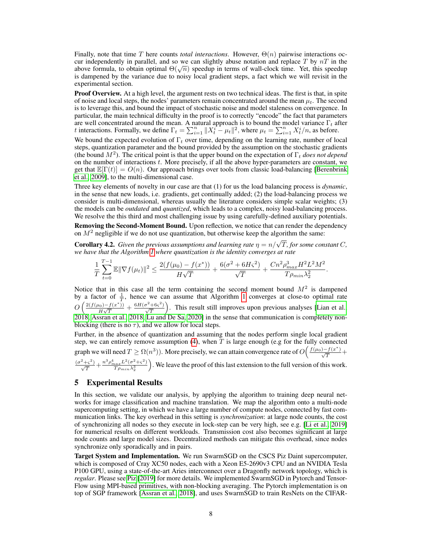Finally, note that time T here counts *total interactions*. However,  $\Theta(n)$  pairwise interactions occur independently in parallel, and so we can slightly abuse notation and replace T by  $nT$  in the cur independently in parallel, and so we can slightly abuse notation and replace 1 by  $nI$  in the above formula, to obtain optimal  $\Theta(\sqrt{n})$  speedup in terms of wall-clock time. Yet, this speedup is dampened by the variance due to noisy local gradient steps, a fact which we will revisit in the experimental section.

**Proof Overview.** At a high level, the argument rests on two technical ideas. The first is that, in spite of noise and local steps, the nodes' parameters remain concentrated around the mean  $\mu_t$ . The second is to leverage this, and bound the impact of stochastic noise and model staleness on convergence. In particular, the main technical difficulty in the proof is to correctly "encode" the fact that parameters are well concentrated around the mean. A natural approach is to bound the model variance  $\Gamma_t$  after t interactions. Formally, we define  $\Gamma_t = \sum_{i=1}^n ||X_t^{i}|^2 - \mu_t||^2$ , where  $\mu_t = \sum_{i=1}^n X_t^i/n$ , as before.

We bound the expected evolution of  $\Gamma_t$  over time, depending on the learning rate, number of local steps, quantization parameter and the bound provided by the assumption on the stochastic gradients (the bound  $M^2$ ). The critical point is that the upper bound on the expectation of  $\Gamma_t$  *does not depend* on the number of interactions  $t$ . More precisely, if all the above hyper-parameters are constant, we get that  $\mathbb{E}[\Gamma(t)] = O(n)$ . Our approach brings over tools from classic load-balancing [\[Berenbrink](#page-11-13)] [et al., 2009\]](#page-11-13), to the multi-dimensional case.

Three key elements of novelty in our case are that (1) for us the load balancing process is *dynamic*, in the sense that new loads, i.e. gradients, get continually added; (2) the load-balancing process we consider is multi-dimensional, whereas usually the literature considers simple scalar weights; (3) the models can be *outdated* and *quantized*, which leads to a complex, noisy load-balancing process. We resolve the this third and most challenging issue by using carefully-defined auxiliary potentials.

Removing the Second-Moment Bound. Upon reflection, we notice that can render the dependency on  $M<sup>2</sup>$  negligible if we do not use quantization, but otherwise keep the algorithm the same:

<span id="page-7-0"></span>**Corollary 4.2.** *Given the previous assumptions and learning rate*  $\eta = n/\sqrt{T}$ , *for some constant* C, *we have that the Algorithm [1](#page-6-0) where quantization is the identity converges at rate*

$$
\frac{1}{T} \sum_{t=0}^{T-1} \mathbb{E} \|\nabla f(\mu_t)\|^2 \le \frac{2(f(\mu_0) - f(x^*))}{H\sqrt{T}} + \frac{6(\sigma^2 + 6H\varsigma^2)}{\sqrt{T}} + \frac{Cn^2\rho_{max}^3H^2L^2M^2}{T\rho_{min}\lambda_2^2}
$$

.

Notice that in this case all the term containing the second moment bound  $M^2$  is dampened by a factor of  $\frac{1}{T}$ , hence we can assume that Algorithm [1](#page-6-0) converges at close-to optimal rate  $O\left(\frac{2(f(\mu_0)-f(x^*))}{H\sqrt{T}}\right)$  $\frac{\mu_0-f(x^*)}{\sqrt{T}}+\frac{6H(\sigma^2+6\varsigma^2)}{\sqrt{T}}\bigg)$ . This result still improves upon previous analyses [\[Lian et al.,](#page-10-8) [2018,](#page-10-8) [Assran et al., 2018,](#page-10-9) [Lu and De Sa, 2020\]](#page-10-12) in the sense that communication is completely nonblocking (there is no  $\tau$ ), and we allow for local steps.

Further, in the absence of quantization and assuming that the nodes perform single local gradient step, we can entirely remove assumption  $(4)$ , when T is large enough (e.g for the fully connected graph we will need  $T \ge \Omega(n^3)$ ). More precisely, we can attain convergence rate of  $O\left(\frac{f(\mu_0)-f(x^*)}{\sqrt{T}} + \right)$  $\frac{(\sigma^2 + \varsigma^2)}{\sqrt{T}} + \frac{n^3 \rho_{max}^4 L^2 (\sigma^2 + \varsigma^2)}{T \rho_{min} \lambda_2^3}$  $T\rho_{min}\lambda_2^3$ . We leave the proof of this last extension to the full version of this work.

### 5 Experimental Results

In this section, we validate our analysis, by applying the algorithm to training deep neural networks for image classification and machine translation. We map the algorithm onto a multi-node supercomputing setting, in which we have a large number of compute nodes, connected by fast communication links. The key overhead in this setting is *synchronization*: at large node counts, the cost of synchronizing all nodes so they execute in lock-step can be very high, see e.g. [\[Li et al., 2019\]](#page-11-14) for numerical results on different workloads. Transmission cost also becomes significant at large node counts and large model sizes. Decentralized methods can mitigate this overhead, since nodes synchronize only sporadically and in pairs.

Target System and Implementation. We run SwarmSGD on the CSCS Piz Daint supercomputer, which is composed of Cray XC50 nodes, each with a Xeon E5-2690v3 CPU and an NVIDIA Tesla P100 GPU, using a state-of-the-art Aries interconnect over a Dragonfly network topology, which is *regular*. Please see [Piz](#page-11-1) [\[2019\]](#page-11-1) for more details. We implemented SwarmSGD in Pytorch and Tensor-Flow using MPI-based primitives, with non-blocking averaging. The Pytorch implementation is on top of SGP framework [\[Assran et al., 2018\]](#page-10-9), and uses SwarmSGD to train ResNets on the CIFAR-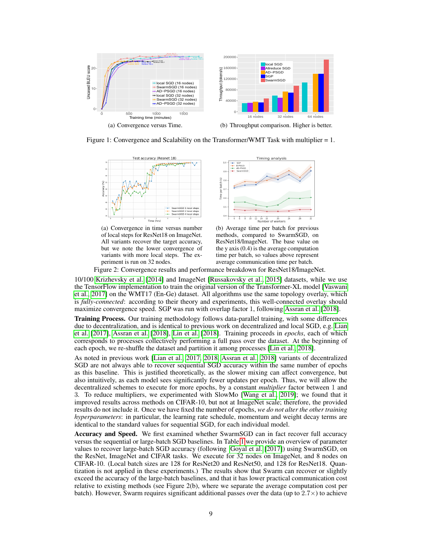

Figure 1: Convergence and Scalability on the Transformer/WMT Task with multiplier  $= 1$ .



(a) Convergence in time versus number of local steps for ResNet18 on ImageNet. All variants recover the target accuracy, but we note the lower convergence of variants with more local steps. The experiment is run on 32 nodes.



average communication time per batch.

Figure 2: Convergence results and performance breakdown for ResNet18/ImageNet.

10/100 [Krizhevsky et al.](#page-11-15) [\[2014\]](#page-11-15) and ImageNet [\[Russakovsky et al., 2015\]](#page-11-4) datasets, while we use the TensorFlow implementation to train the original version of the Transformer-XL model [\[Vaswani](#page-11-2) [et al., 2017\]](#page-11-2) on the WMT17 (En-Ge) dataset. All algorithms use the same topology overlay, which is *fully-connected*: according to their theory and experiments, this well-connected overlay should maximize convergence speed. SGP was run with overlap factor 1, following [Assran et al.](#page-10-9) [\[2018\]](#page-10-9).

Training Process. Our training methodology follows data-parallel training, with some differences due to decentralization, and is identical to previous work on decentralized and local SGD, e.g. [Lian](#page-10-0) [et al.](#page-10-0) [\[2017\]](#page-10-0), [Assran et al.](#page-10-9) [\[2018\]](#page-10-9), [Lin et al.](#page-11-16) [\[2018\]](#page-11-16). Training proceeds in *epochs*, each of which corresponds to processes collectively performing a full pass over the dataset. At the beginning of each epoch, we re-shuffle the dataset and partition it among processes [\[Lin et al., 2018\]](#page-11-16).

As noted in previous work [\[Lian et al., 2017,](#page-10-0) [2018,](#page-10-8) [Assran et al., 2018\]](#page-10-9) variants of decentralized SGD are not always able to recover sequential SGD accuracy within the same number of epochs as this baseline. This is justified theoretically, as the slower mixing can affect convergence, but also intuitively, as each model sees significantly fewer updates per epoch. Thus, we will allow the decentralized schemes to execute for more epochs, by a constant *multiplier* factor between 1 and 3. To reduce multipliers, we experimented with SlowMo [\[Wang et al., 2019\]](#page-12-0); we found that it improved results across methods on CIFAR-10, but not at ImageNet scale; therefore, the provided results do not include it. Once we have fixed the number of epochs, *we do not alter the other training hyperparameters*: in particular, the learning rate schedule, momentum and weight decay terms are identical to the standard values for sequential SGD, for each individual model.

Accuracy and Speed. We first examined whether SwarmSGD can in fact recover full accuracy versus the sequential or large-batch SGD baselines. In Table [1](#page-9-0) we provide an overview of parameter values to recover large-batch SGD accuracy (following [Goyal et al.](#page-12-1) [\[2017\]](#page-12-1)) using SwarmSGD, on the ResNet, ImageNet and CIFAR tasks. We execute for 32 nodes on ImageNet, and 8 nodes on CIFAR-10. (Local batch sizes are 128 for ResNet20 and ResNet50, and 128 for ResNet18. Quantization is not applied in these experiments.) The results show that Swarm can recover or slightly exceed the accuracy of the large-batch baselines, and that it has lower practical communication cost relative to existing methods (see Figure 2(b), where we separate the average computation cost per batch). However, Swarm requires significant additional passes over the data (up to  $2.7\times$ ) to achieve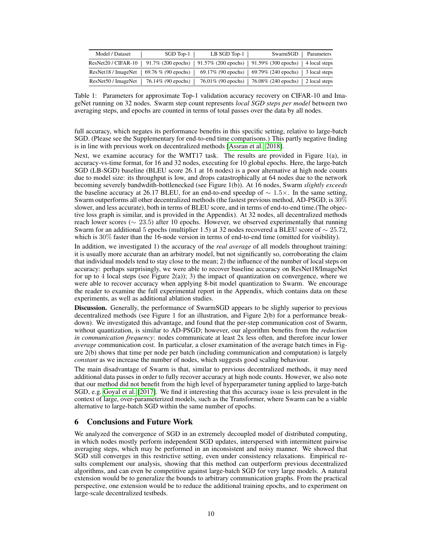<span id="page-9-0"></span>

| Model / Dataset                             | $SGD Top-1$ | LB SGD Top-1 | SwarmSGD   Parameters                                                                                |
|---------------------------------------------|-------------|--------------|------------------------------------------------------------------------------------------------------|
|                                             |             |              | ResNet20 / CIFAR-10   91.7% (200 epochs)   91.57% (200 epochs)   91.59% (300 epochs)   4 local steps |
| ResNet18 / ImageNet   69.76 % (90 epochs)   |             |              | 69.17% (90 epochs)   69.79% (240 epochs)   3 local steps                                             |
| ResNet50 / ImageNet   $76.14\%$ (90 epochs) |             |              | 76.01% (90 epochs)   76.08% (240 epochs)   2 local steps                                             |

Table 1: Parameters for approximate Top-1 validation accuracy recovery on CIFAR-10 and ImageNet running on 32 nodes. Swarm step count represents *local SGD steps per model* between two averaging steps, and epochs are counted in terms of total passes over the data by all nodes.

full accuracy, which negates its performance benefits in this specific setting, relative to large-batch SGD. (Please see the Supplementary for end-to-end time comparisons.) This partly negative finding is in line with previous work on decentralized methods [\[Assran et al., 2018\]](#page-10-9).

Next, we examine accuracy for the WMT17 task. The results are provided in Figure 1(a), in accuracy-vs-time format, for 16 and 32 nodes, executing for 10 global epochs. Here, the large-batch SGD (LB-SGD) baseline (BLEU score 26.1 at 16 nodes) is a poor alternative at high node counts due to model size: its throughput is low, and drops catastrophically at 64 nodes due to the network becoming severely bandwdith-bottlenecked (see Figure 1(b)). At 16 nodes, Swarm *slightly exceeds* the baseline accuracy at 26.17 BLEU, for an end-to-end speedup of  $\sim 1.5 \times$ . In the same setting, Swarm outperforms all other decentralized methods (the fastest previous method, AD-PSGD, is 30% slower, and less accurate), both in terms of BLEU score, and in terms of end-to-end time.(The objective loss graph is similar, and is provided in the Appendix). At 32 nodes, all decentralized methods reach lower scores ( $\sim$  23.5) after 10 epochs. However, we observed experimentally that running Swarm for an additional 5 epochs (multiplier 1.5) at 32 nodes recovered a BLEU score of  $\sim$  25.72, which is 30% faster than the 16-node version in terms of end-to-end time (omitted for visibility).

In addition, we investigated 1) the accuracy of the *real average* of all models throughout training: it is usually more accurate than an arbitrary model, but not significantly so, corroborating the claim that individual models tend to stay close to the mean; 2) the influence of the number of local steps on accuracy: perhaps surprisingly, we were able to recover baseline accuracy on ResNet18/ImageNet for up to 4 local steps (see Figure 2(a)); 3) the impact of quantization on convergence, where we were able to recover accuracy when applying 8-bit model quantization to Swarm. We encourage the reader to examine the full experimental report in the Appendix, which contains data on these experiments, as well as additional ablation studies.

Discussion. Generally, the performance of SwarmSGD appears to be slighly superior to previous decentralized methods (see Figure 1 for an illustration, and Figure 2(b) for a performance breakdown). We investigated this advantage, and found that the per-step communication cost of Swarm, without quantization, is similar to AD-PSGD; however, our algorithm benefits from the *reduction in communication frequency*: nodes communicate at least 2x less often, and therefore incur lower *average* communication cost. In particular, a closer examination of the average batch times in Figure 2(b) shows that time per node per batch (including communication and computation) is largely *constant* as we increase the number of nodes, which suggests good scaling behaviour.

The main disadvantage of Swarm is that, similar to previous decentralized methods, it may need additional data passes in order to fully recover accuracy at high node counts. However, we also note that our method did not benefit from the high level of hyperparameter tuning applied to large-batch SGD, e.g. [Goyal et al.](#page-12-1) [\[2017\]](#page-12-1). We find it interesting that this accuracy issue is less prevalent in the context of large, over-parameterized models, such as the Transformer, where Swarm can be a viable alternative to large-batch SGD within the same number of epochs.

# 6 Conclusions and Future Work

We analyzed the convergence of SGD in an extremely decoupled model of distributed computing, in which nodes mostly perform independent SGD updates, interspersed with intermittent pairwise averaging steps, which may be performed in an inconsistent and noisy manner. We showed that SGD still converges in this restrictive setting, even under consistency relaxations. Empirical results complement our analysis, showing that this method can outperform previous decentralized algorithms, and can even be competitive against large-batch SGD for very large models. A natural extension would be to generalize the bounds to arbitrary communication graphs. From the practical perspective, one extension would be to reduce the additional training epochs, and to experiment on large-scale decentralized testbeds.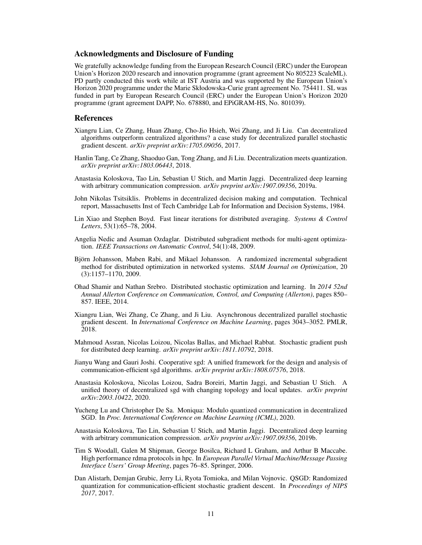#### Acknowledgments and Disclosure of Funding

We gratefully acknowledge funding from the European Research Council (ERC) under the European Union's Horizon 2020 research and innovation programme (grant agreement No 805223 ScaleML). PD partly conducted this work while at IST Austria and was supported by the European Union's Horizon 2020 programme under the Marie Skłodowska-Curie grant agreement No. 754411. SL was funded in part by European Research Council (ERC) under the European Union's Horizon 2020 programme (grant agreement DAPP, No. 678880, and EPiGRAM-HS, No. 801039).

#### References

- <span id="page-10-0"></span>Xiangru Lian, Ce Zhang, Huan Zhang, Cho-Jio Hsieh, Wei Zhang, and Ji Liu. Can decentralized algorithms outperform centralized algorithms? a case study for decentralized parallel stochastic gradient descent. *arXiv preprint arXiv:1705.09056*, 2017.
- <span id="page-10-1"></span>Hanlin Tang, Ce Zhang, Shaoduo Gan, Tong Zhang, and Ji Liu. Decentralization meets quantization. *arXiv preprint arXiv:1803.06443*, 2018.
- <span id="page-10-2"></span>Anastasia Koloskova, Tao Lin, Sebastian U Stich, and Martin Jaggi. Decentralized deep learning with arbitrary communication compression. *arXiv preprint arXiv:1907.09356*, 2019a.
- <span id="page-10-3"></span>John Nikolas Tsitsiklis. Problems in decentralized decision making and computation. Technical report, Massachusetts Inst of Tech Cambridge Lab for Information and Decision Systems, 1984.
- <span id="page-10-4"></span>Lin Xiao and Stephen Boyd. Fast linear iterations for distributed averaging. *Systems & Control Letters*, 53(1):65–78, 2004.
- <span id="page-10-5"></span>Angelia Nedic and Asuman Ozdaglar. Distributed subgradient methods for multi-agent optimization. *IEEE Transactions on Automatic Control*, 54(1):48, 2009.
- <span id="page-10-6"></span>Bjorn Johansson, Maben Rabi, and Mikael Johansson. A randomized incremental subgradient ¨ method for distributed optimization in networked systems. *SIAM Journal on Optimization*, 20 (3):1157–1170, 2009.
- <span id="page-10-7"></span>Ohad Shamir and Nathan Srebro. Distributed stochastic optimization and learning. In *2014 52nd Annual Allerton Conference on Communication, Control, and Computing (Allerton)*, pages 850– 857. IEEE, 2014.
- <span id="page-10-8"></span>Xiangru Lian, Wei Zhang, Ce Zhang, and Ji Liu. Asynchronous decentralized parallel stochastic gradient descent. In *International Conference on Machine Learning*, pages 3043–3052. PMLR, 2018.
- <span id="page-10-9"></span>Mahmoud Assran, Nicolas Loizou, Nicolas Ballas, and Michael Rabbat. Stochastic gradient push for distributed deep learning. *arXiv preprint arXiv:1811.10792*, 2018.
- <span id="page-10-10"></span>Jianyu Wang and Gauri Joshi. Cooperative sgd: A unified framework for the design and analysis of communication-efficient sgd algorithms. *arXiv preprint arXiv:1808.07576*, 2018.
- <span id="page-10-11"></span>Anastasia Koloskova, Nicolas Loizou, Sadra Boreiri, Martin Jaggi, and Sebastian U Stich. A unified theory of decentralized sgd with changing topology and local updates. *arXiv preprint arXiv:2003.10422*, 2020.
- <span id="page-10-12"></span>Yucheng Lu and Christopher De Sa. Moniqua: Modulo quantized communication in decentralized SGD. In *Proc. International Conference on Machine Learning (ICML)*, 2020.
- <span id="page-10-13"></span>Anastasia Koloskova, Tao Lin, Sebastian U Stich, and Martin Jaggi. Decentralized deep learning with arbitrary communication compression. *arXiv preprint arXiv:1907.09356*, 2019b.
- <span id="page-10-14"></span>Tim S Woodall, Galen M Shipman, George Bosilca, Richard L Graham, and Arthur B Maccabe. High performance rdma protocols in hpc. In *European Parallel Virtual Machine/Message Passing Interface Users' Group Meeting*, pages 76–85. Springer, 2006.
- <span id="page-10-15"></span>Dan Alistarh, Demjan Grubic, Jerry Li, Ryota Tomioka, and Milan Vojnovic. QSGD: Randomized quantization for communication-efficient stochastic gradient descent. In *Proceedings of NIPS 2017*, 2017.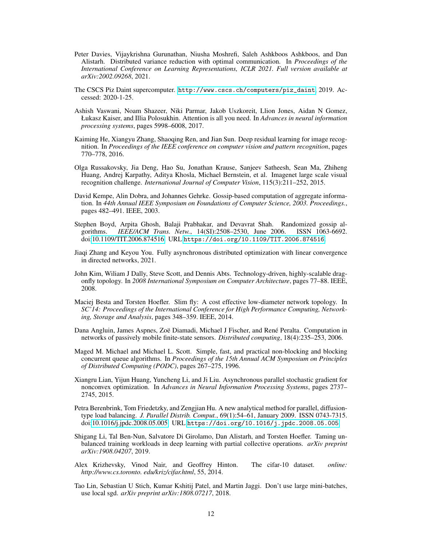- <span id="page-11-0"></span>Peter Davies, Vijaykrishna Gurunathan, Niusha Moshrefi, Saleh Ashkboos Ashkboos, and Dan Alistarh. Distributed variance reduction with optimal communication. In *Proceedings of the International Conference on Learning Representations, ICLR 2021. Full version available at arXiv:2002.09268*, 2021.
- <span id="page-11-1"></span>The CSCS Piz Daint supercomputer. [http://www.cscs.ch/computers/piz\\_daint](http://www.cscs.ch/computers/piz_daint), 2019. Accessed: 2020-1-25.
- <span id="page-11-2"></span>Ashish Vaswani, Noam Shazeer, Niki Parmar, Jakob Uszkoreit, Llion Jones, Aidan N Gomez, Łukasz Kaiser, and Illia Polosukhin. Attention is all you need. In *Advances in neural information processing systems*, pages 5998–6008, 2017.
- <span id="page-11-3"></span>Kaiming He, Xiangyu Zhang, Shaoqing Ren, and Jian Sun. Deep residual learning for image recognition. In *Proceedings of the IEEE conference on computer vision and pattern recognition*, pages 770–778, 2016.
- <span id="page-11-4"></span>Olga Russakovsky, Jia Deng, Hao Su, Jonathan Krause, Sanjeev Satheesh, Sean Ma, Zhiheng Huang, Andrej Karpathy, Aditya Khosla, Michael Bernstein, et al. Imagenet large scale visual recognition challenge. *International Journal of Computer Vision*, 115(3):211–252, 2015.
- <span id="page-11-5"></span>David Kempe, Alin Dobra, and Johannes Gehrke. Gossip-based computation of aggregate information. In *44th Annual IEEE Symposium on Foundations of Computer Science, 2003. Proceedings.*, pages 482–491. IEEE, 2003.
- <span id="page-11-6"></span>Stephen Boyd, Arpita Ghosh, Balaji Prabhakar, and Devavrat Shah. Randomized gossip algorithms. *IEEE/ACM Trans. Netw.*, 14(SI):2508–2530, June 2006. ISSN 1063-6692. doi[:10.1109/TIT.2006.874516.](https://doi.org/10.1109/TIT.2006.874516) URL <https://doi.org/10.1109/TIT.2006.874516>.
- <span id="page-11-7"></span>Jiaqi Zhang and Keyou You. Fully asynchronous distributed optimization with linear convergence in directed networks, 2021.
- <span id="page-11-8"></span>John Kim, Wiliam J Dally, Steve Scott, and Dennis Abts. Technology-driven, highly-scalable dragonfly topology. In *2008 International Symposium on Computer Architecture*, pages 77–88. IEEE, 2008.
- <span id="page-11-9"></span>Maciej Besta and Torsten Hoefler. Slim fly: A cost effective low-diameter network topology. In *SC'14: Proceedings of the International Conference for High Performance Computing, Networking, Storage and Analysis*, pages 348–359. IEEE, 2014.
- <span id="page-11-10"></span>Dana Angluin, James Aspnes, Zoë Diamadi, Michael J Fischer, and René Peralta. Computation in networks of passively mobile finite-state sensors. *Distributed computing*, 18(4):235–253, 2006.
- <span id="page-11-11"></span>Maged M. Michael and Michael L. Scott. Simple, fast, and practical non-blocking and blocking concurrent queue algorithms. In *Proceedings of the 15th Annual ACM Symposium on Principles of Distributed Computing (PODC)*, pages 267–275, 1996.
- <span id="page-11-12"></span>Xiangru Lian, Yijun Huang, Yuncheng Li, and Ji Liu. Asynchronous parallel stochastic gradient for nonconvex optimization. In *Advances in Neural Information Processing Systems*, pages 2737– 2745, 2015.
- <span id="page-11-13"></span>Petra Berenbrink, Tom Friedetzky, and Zengjian Hu. A new analytical method for parallel, diffusiontype load balancing. *J. Parallel Distrib. Comput.*, 69(1):54–61, January 2009. ISSN 0743-7315. doi[:10.1016/j.jpdc.2008.05.005.](https://doi.org/10.1016/j.jpdc.2008.05.005) URL <https://doi.org/10.1016/j.jpdc.2008.05.005>.
- <span id="page-11-14"></span>Shigang Li, Tal Ben-Nun, Salvatore Di Girolamo, Dan Alistarh, and Torsten Hoefler. Taming unbalanced training workloads in deep learning with partial collective operations. *arXiv preprint arXiv:1908.04207*, 2019.
- <span id="page-11-15"></span>Alex Krizhevsky, Vinod Nair, and Geoffrey Hinton. The cifar-10 dataset. *online: http://www.cs.toronto. edu/kriz/cifar.html*, 55, 2014.
- <span id="page-11-16"></span>Tao Lin, Sebastian U Stich, Kumar Kshitij Patel, and Martin Jaggi. Don't use large mini-batches, use local sgd. *arXiv preprint arXiv:1808.07217*, 2018.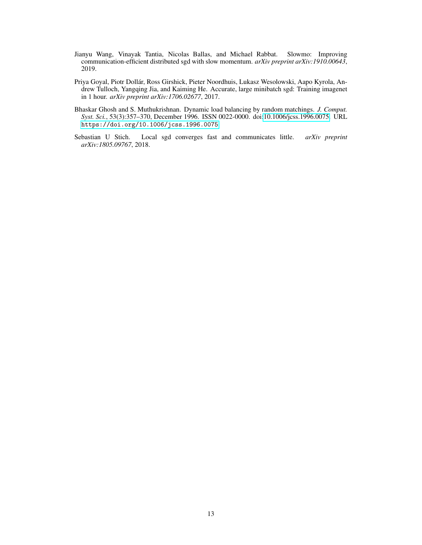- <span id="page-12-0"></span>Jianyu Wang, Vinayak Tantia, Nicolas Ballas, and Michael Rabbat. Slowmo: Improving communication-efficient distributed sgd with slow momentum. *arXiv preprint arXiv:1910.00643*, 2019.
- <span id="page-12-1"></span>Priya Goyal, Piotr Dollar, Ross Girshick, Pieter Noordhuis, Lukasz Wesolowski, Aapo Kyrola, An- ´ drew Tulloch, Yangqing Jia, and Kaiming He. Accurate, large minibatch sgd: Training imagenet in 1 hour. *arXiv preprint arXiv:1706.02677*, 2017.
- Bhaskar Ghosh and S. Muthukrishnan. Dynamic load balancing by random matchings. *J. Comput. Syst. Sci.*, 53(3):357–370, December 1996. ISSN 0022-0000. doi[:10.1006/jcss.1996.0075.](https://doi.org/10.1006/jcss.1996.0075) URL <https://doi.org/10.1006/jcss.1996.0075>.
- Sebastian U Stich. Local sgd converges fast and communicates little. *arXiv preprint arXiv:1805.09767*, 2018.